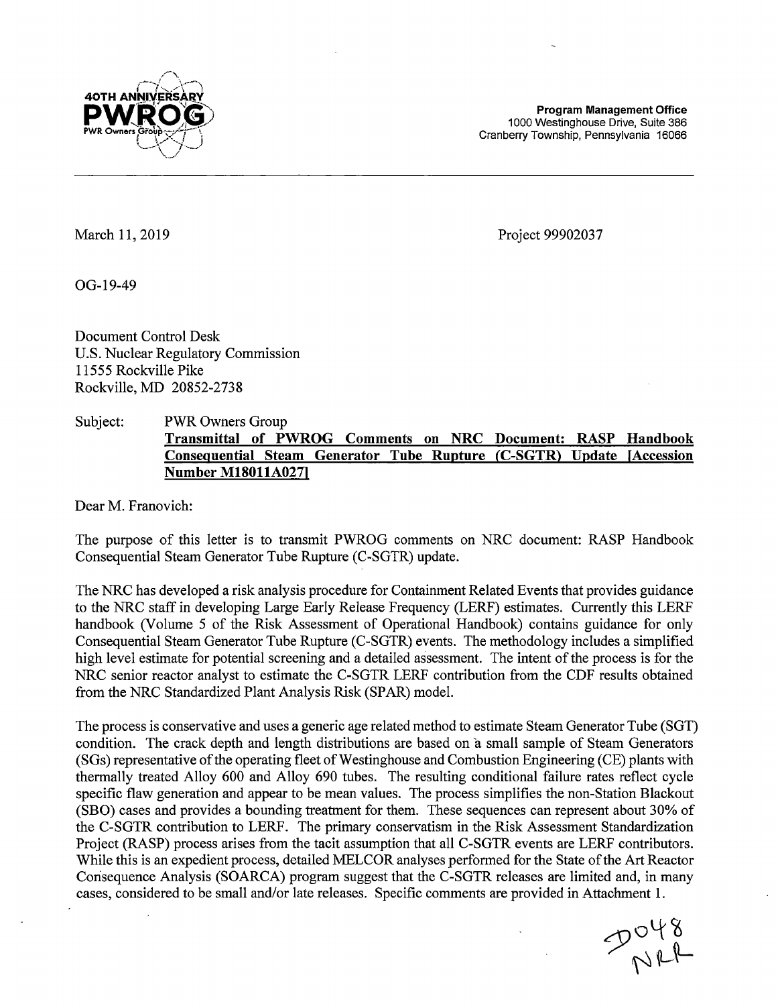

**Program Management Office**  1000 Westinghouse Drive, Suite 386 Cranberry Township, Pennsylvania 16066

March 11, 2019

Project 99902037

OG-19-49

Document Control Desk U.S. Nuclear Regulatory Commission 11555 Rockville Pike Rockville, MD 20852-2738

## Subject: PWR Owners Group **Transmittal of PWROG Comments on NRC Document: RASP Handbook Consequential Steam Generator Tube Rupture (C-SGTR) Update (Accession Number M18011A027)**

Dear M. Franovich:

The purpose of this letter is to transmit PWROG comments on NRC document: RASP Handbook Consequential Steam Generator Tube Rupture (C-SGTR) update.

The NRC has developed a risk analysis procedure for Containment Related Events that provides guidance to the NRC staff in developing Large Early Release Frequency (LERF) estimates. Currently this LERF handbook (Volume 5 of the Risk Assessment of Operational Handbook) contains guidance for only Consequential Steam Generator Tube Rupture (C-SGTR) events. The methodology includes a simplified high level estimate for potential screening and a detailed assessment. The intent of the process is for the NRC senior reactor analyst to estimate the C-SGTR LERF contribution from the CDF results obtained from the NRC Standardized Plant Analysis Risk (SPAR) model.

The process is conservative and uses a generic age related method to estimate Steam Generator Tube (SGT) condition. The crack depth and length distributions are based on a small sample of Steam Generators (SGs) representative of the operating fleet of Westinghouse and Combustion Engineering (CE) plants with thermally treated Alloy 600 and Alloy 690 tubes. The resulting conditional failure rates reflect cycle specific flaw generation and appear to be mean values. The process simplifies the non-Station Blackout (SBO) cases and provides a bounding treatment for them. These sequences can represent about 30% of the C-SGTR contribution to LERF. The primary conservatism in the Risk Assessment Standardization Project (RASP) process arises from the tacit assumption that all C-SGTR events are LERF contributors. While this is an expedient process, detailed MELCOR analyses performed for the State of the Art Reactor Consequence Analysis (SOARCA) program suggest that the C-SGTR releases are limited and, in many cases, considered to be small and/or late releases. Specific comments are provided in Attachment 1.

 $P_{NLP}^{O48}$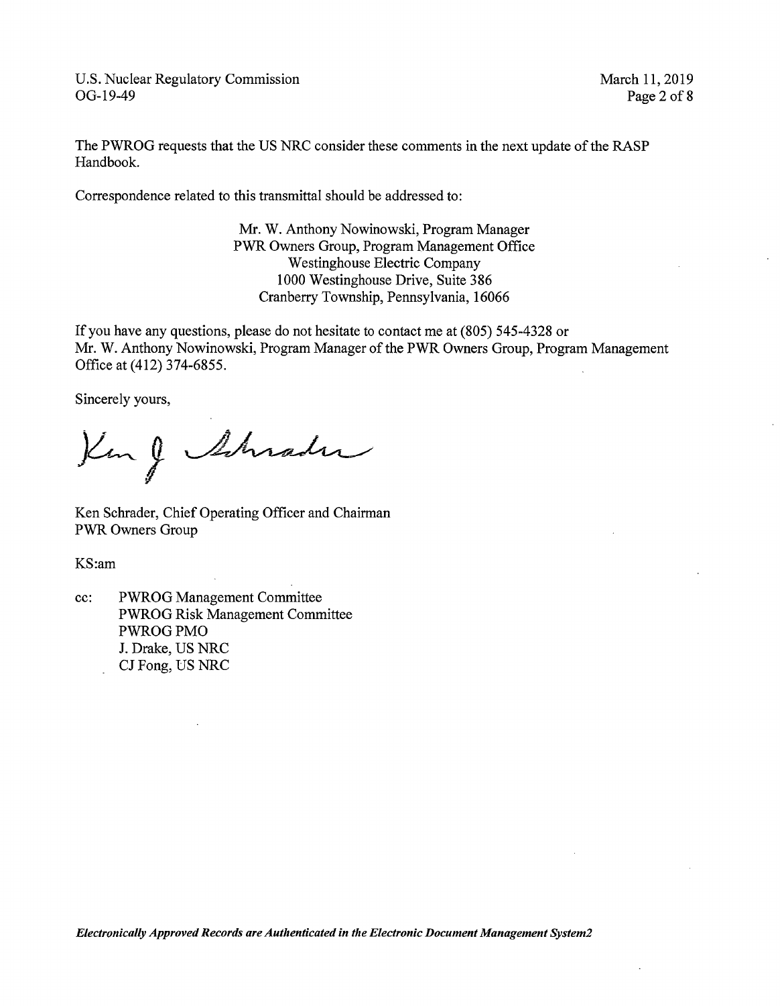March 11, 2019 Page 2 of **8** 

The PWROG requests that the US NRC consider these comments in the next update of the RASP Handbook.

Correspondence related to this transmittal should be addressed to:

Mr. W. Anthony Nowinowski, Program Manager PWR Owners Group, Program Management Office Westinghouse Electric Company 1000 Westinghouse Drive, Suite 386 Cranberry Township, Pennsylvania, 16066

If you have any questions, please do not hesitate to contact me at (805) 545-4328 or Mr. W. Anthony Nowinowski, Program Manager of the PWR Owners Group, Program Management Office at (412) 374-6855.

Sincerely yours,

King Schrader

Ken Schrader, Chief Operating Officer and Chairman PWR Owners Group

KS:am

cc: PWROG Management Committee PWROG Risk Management Committee PWROGPMO J. Drake, US NRC CJ Fong, US NRC

*Electronically Approved Records are Authenticated in the Electronic Document Management System2*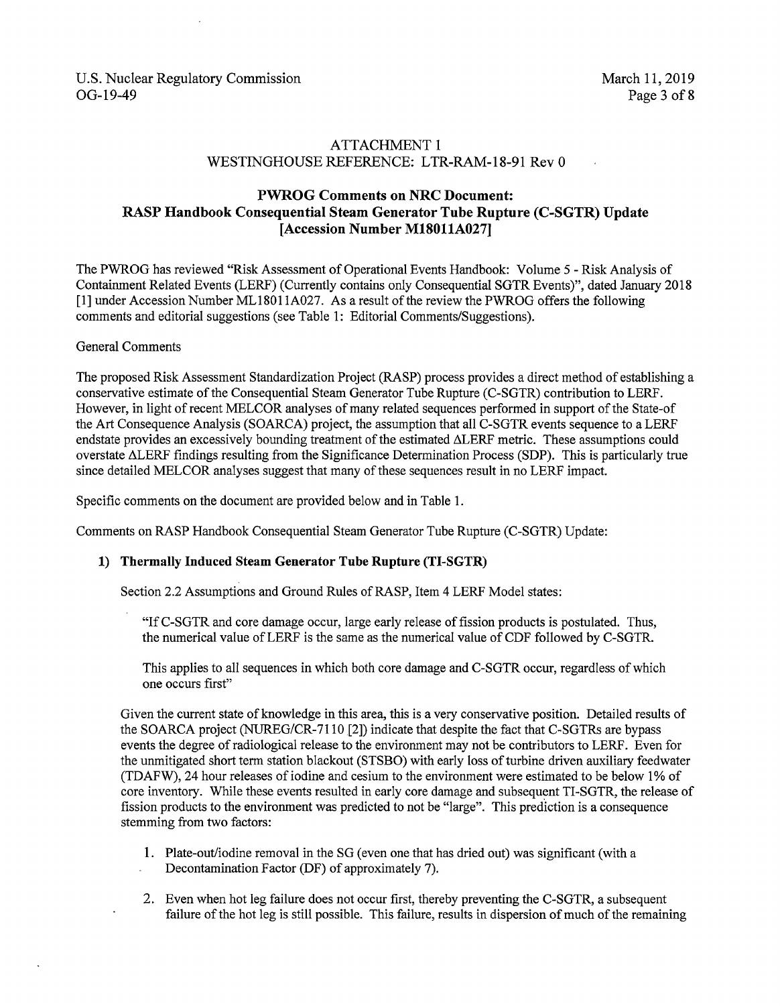## ATTACHMENT I WESTINGHOUSE REFERENCE: LTR-RAM-18-91 Rev 0

## **PWROG Comments on NRC Document: RASP Handbook Consequential Steam Generator Tube Rupture (C-SGTR) Update [Accession Number M18011A027]**

The PWROG has reviewed "Risk Assessment of Operational Events Handbook: Volume 5 - Risk Analysis of Containment Related Events (LERF) (Currently contains only Consequential SGTR Events)", dated January 2018 [l] under Accession Number ML18011A027. As a result of the review the PWROG offers the following comments and editorial suggestions (see Table 1: Editorial Comments/Suggestions).

### General Comments

The proposed Risk Assessment Standardization Project (RASP) process provides a direct method of establishing a conservative estimate of the Consequential Steam Generator Tube Rupture (C-SGTR) contribution to LERF. However, in light of recent MELCOR analyses of many related sequences performed in support of the State-of the Art Consequence Analysis (SOARCA) project, the assumption that all C-SGTR events sequence to a LERF endstate provides an excessively bounding treatment of the estimated ALERF metric. These assumptions could overstate LiLERF findings resulting from the Significance Determination Process (SDP). This is particularly true since detailed MELCOR analyses suggest that many of these sequences result in no LERF impact.

Specific comments on the document are provided below and in Table 1.

Comments on RASP Handbook Consequential Steam Generator Tube Rupture (C-SGTR) Update:

### **1) Thermally Induced Steam Generator Tube Rupture (TI-SGTR)**

Section 2.2 Assumptions and Ground Rules of RASP, Item 4 LERF Model states:

"If C-SGTR and core damage occur, large early release of fission products is postulated. Thus, the numerical value ofLERF is the same as the numerical value of CDF followed by C-SGTR.

This applies to all sequences in which both core damage and C-SGTR occur, regardless of which one occurs first"

Given the current state of knowledge in this area, this is a very conservative position. Detailed results of the SOARCA project (NUREG/CR-7110 [2]) indicate that despite the fact that C-SGTRs are bypass events the degree of radiological release to the environment may not be contributors to LERF. Even for the unmitigated short term station blackout (STSBO) with early loss of turbine driven auxiliary feedwater (TDAFW), 24 hour releases of iodine and cesium to the environment were estimated to be below 1% of core inventory. While these events resulted in early core damage and subsequent TI-SGTR, the release of fission products to the environment was predicted to not be "large". This prediction is a consequence stemming from two factors:

- I. Plate-out/iodine removal in the SG (even one that has dried out) was significant (with a Decontamination Factor (DF) of approximately 7).
- 2. Even when hot leg failure does not occur first, thereby preventing the C-SGTR, a subsequent failure of the hot leg is still possible. This failure, results in dispersion of much of the remaining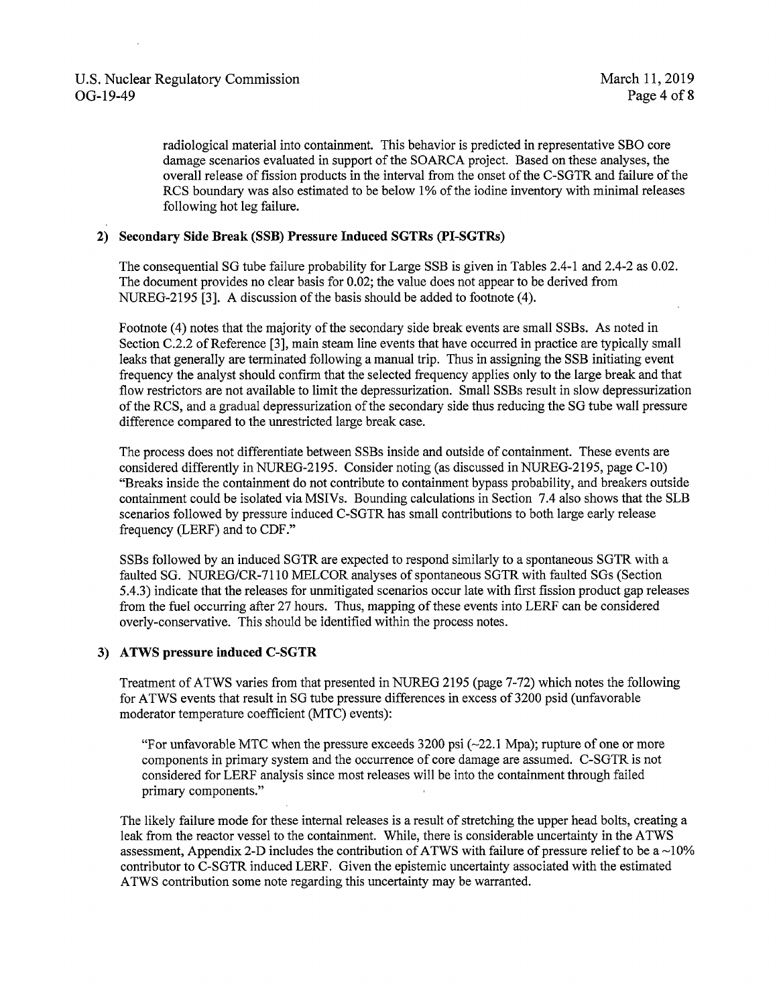radiological material into containment. This behavior is predicted in representative SBO core damage scenarios evaluated in support of the SOARCA project. Based on these analyses, the overall release of fission products in the interval from the onset of the C-SGTR and failure of the RCS boundary was also estimated to be below 1% of the iodine inventory with minimal releases following hot leg failure.

#### **2) Secondary Side Break (SSB) Pressure Induced SGTRs (PI-SGTRs)**

The consequential SG tube failure probability for Large SSB is given in Tables 2.4-1 and 2.4-2 as 0.02. The document provides no clear basis for 0.02; the value does not appear to be derived from NUREG-2195 [3]. A discussion of the basis should be added to footnote (4).

Footnote (4) notes that the majority of the secondary side break events are small SSBs. As noted in Section C.2.2 of Reference [3], main steam line events that have occurred in practice are typically small leaks that generally are terminated following a manual trip. Thus in assigning the SSB initiating event frequency the analyst should confirm that the selected frequency applies only to the large break and that flow restrictors are not available to limit the depressurization. Small SSBs result in slow depressurization of the RCS, and a gradual depressurization of the secondary side thus reducing the SG tube wall pressure difference compared to the unrestricted large break case.

The process does not differentiate between SSBs inside and outside of containment. These events are considered differently in NUREG-2195. Consider noting (as discussed in NUREG-2195, page C-10) "Breaks inside the containment do not contribute to containment bypass probability, and breakers outside containment could be isolated via MSIVs. Bounding calculations in Section 7.4 also shows that the SLB scenarios followed by pressure induced C-SGTR has small contributions to both large early release frequency (LERF) and to CDF ."

SSBs followed by an induced SGTR are expected to respond similarly to a spontaneous SGTR with a faulted SG. NUREG/CR-7110 MELCOR analyses of spontaneous SGTR with faulted SGs (Section 5.4.3) indicate that the releases for unmitigated scenarios occur late with first fission product gap releases from the fuel occurring after 27 hours. Thus, mapping of these events into LERF can be considered overly-conservative. This should be identified within the process notes.

#### **3) ATWS pressure induced C-SGTR**

Treatment of ATWS varies from that presented in NUREG 2195 (page 7-72) which notes the following for ATWS events that result in SG tube pressure differences in excess of 3200 psid (unfavorable moderator temperature coefficient (MTC) events):

"For unfavorable MTC when the pressure exceeds  $3200$  psi  $\left(-22.1 \text{ Mpa}\right)$ ; rupture of one or more components in primary system and the occurrence of core damage are assumed. C-SGTR is not considered for LERF analysis since most releases will be into the containment through failed primary components."

The likely failure mode for these internal releases is a result of stretching the upper head bolts, creating a leak from the reactor vessel to the containment. While, there is considerable uncertainty in the ATWS assessment, Appendix 2-D includes the contribution of ATWS with failure of pressure relief to be a  $\sim$ 10% contributor to C-SGTR induced LERF. Given the epistemic uncertainty associated with the estimated A TWS contribution some note regarding this uncertainty may be warranted.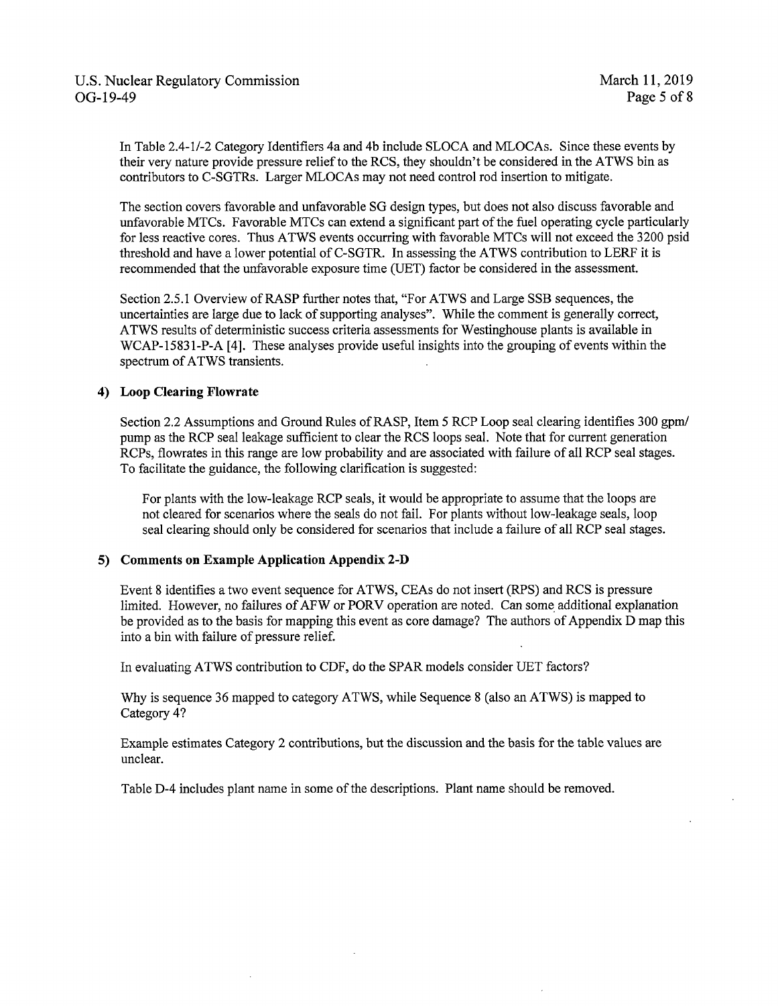In Table 2.4-1/-2 Category Identifiers 4a and 4b include SLOCA and MLOCAs. Since these events by their very nature provide pressure relief to the RCS, they shouldn't be considered in the ATWS bin as contributors to C-SGTRs. Larger MLOCAs may not need control rod insertion to mitigate.

The section covers favorable and unfavorable SG design types, but does not also discuss favorable and unfavorable MTCs. Favorable MTCs can extend a significant part of the fuel operating cycle particularly for less reactive cores. Thus ATWS events occurring with favorable MTCs will not exceed the 3200 psid threshold and have a lower potential of C-SGTR. In assessing the ATWS contribution to LERF it is recommended that the unfavorable exposure time (UET) factor be considered in the assessment.

Section 2.5.l Overview of RASP further notes that, "For ATWS and Large SSB sequences, the uncertainties are large due to lack of supporting analyses". While the comment is generally correct, A TWS results of deterministic success criteria assessments for Westinghouse plants is available in WCAP-15831-P-A [4]. These analyses provide useful insights into the grouping of events within the spectrum of ATWS transients.

#### **4) Loop Clearing Flowrate**

Section 2.2 Assumptions and Ground Rules of RASP, Item 5 RCP Loop seal clearing identifies 300 gpm/ pump as the RCP seal leakage sufficient to clear the RCS loops seal. Note that for current generation RCPs, flowrates in this range are low probability and are associated with failure of all RCP seal stages. To facilitate the guidance, the following clarification is suggested:

For plants with the low-leakage RCP seals, it would be appropriate to assume that the loops are not cleared for scenarios where the seals do not fail. For plants without low-leakage seals, loop seal clearing should only be considered for scenarios that include a failure of all RCP seal stages.

#### **5) Comments on Example Application Appendix 2-D**

Event 8 identifies a two event sequence for ATWS, CEAs do not insert (RPS) and RCS is pressure limited. However, no failures of AFW or PORV operation are noted. Can some additional explanation be provided as to the basis for mapping this event as core damage? The authors of Appendix D map this into a bin with failure of pressure relief.

In evaluating ATWS contribution to CDP, do the SPAR models consider UET factors?

Why is sequence 36 mapped to category ATWS, while Sequence 8 (also an ATWS) is mapped to Category 4?

Example estimates Category 2 contributions, but the discussion and the basis for the table values are unclear.

Table D-4 includes plant name in some of the descriptions. Plant name should be removed.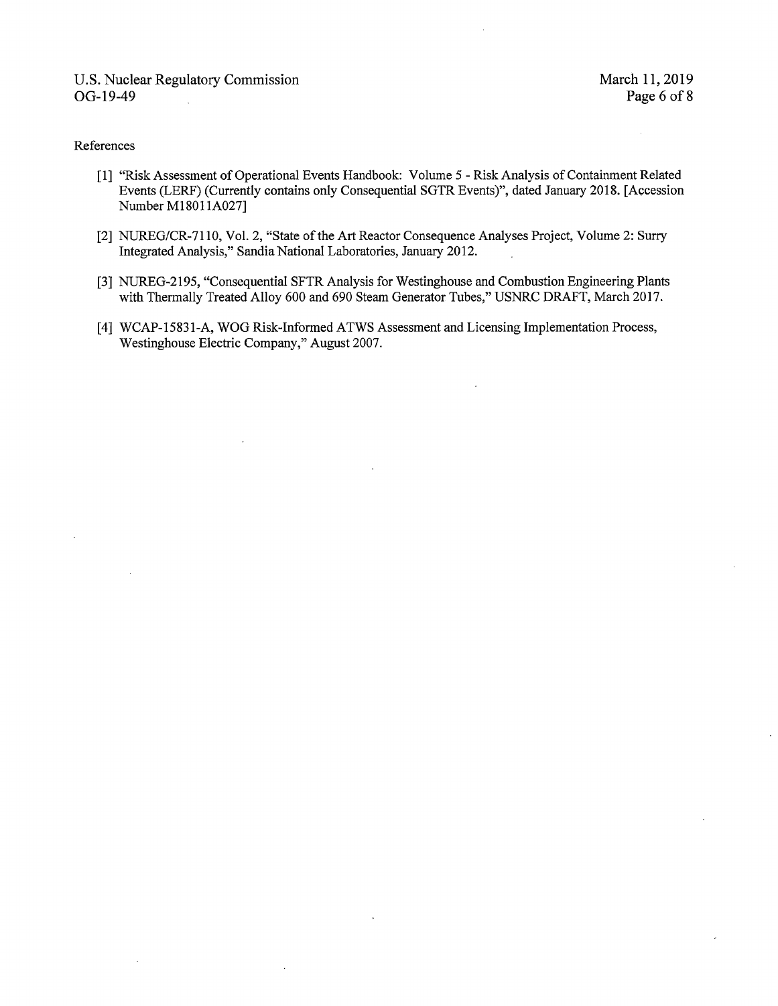#### References

- [ 1] "Risk Assessment of Operational Events Handbook: Volume 5 Risk Analysis of Containment Related Events (LERF) (Currently contains only Consequential SGTR Events)", dated January 2018. [Accession Number M18011A027]
- [2] NUREG/CR-7110, Vol. 2, "State of the Art Reactor Consequence Analyses Project, Volume 2: Surry Integrated Analysis," Sandia National Laboratories, January 2012.
- [3] NUREG-2195, "Consequential SFTR Analysis for Westinghouse and Combustion Engineering Plants with Thermally Treated Alloy 600 and 690 Steam Generator Tubes," USNRC DRAFT, March 2017.
- [4] WCAP-15831-A, WOG Risk-Informed ATWS Assessment and Licensing Implementation Process, Westinghouse Electric Company," August 2007.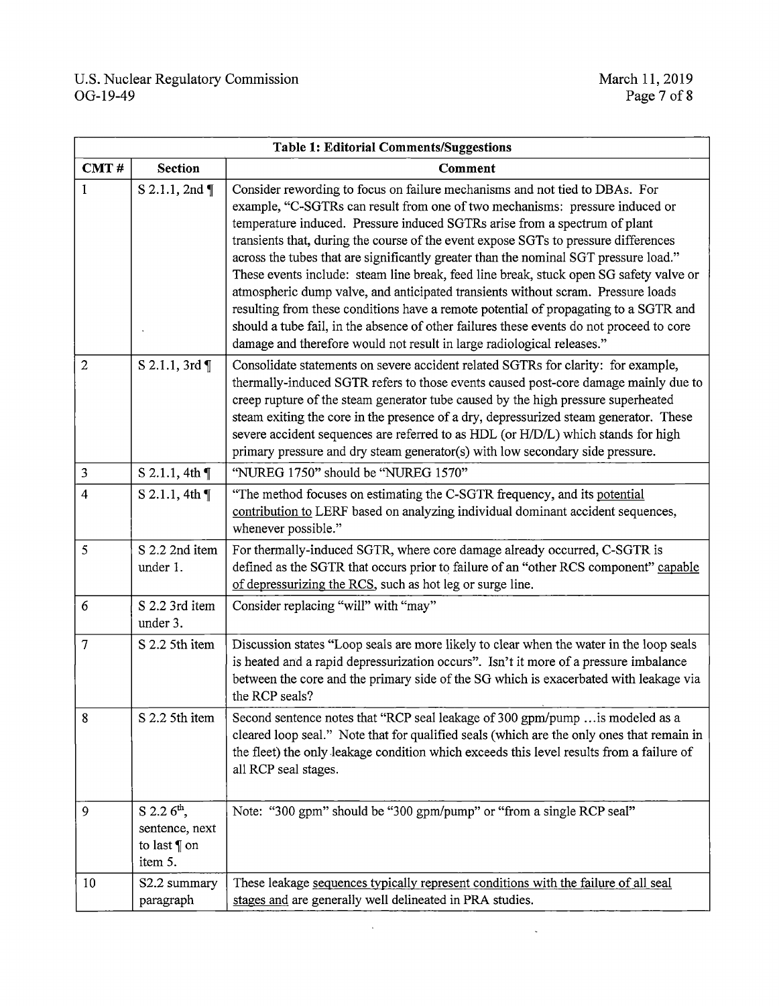| <b>Table 1: Editorial Comments/Suggestions</b> |                                                                           |                                                                                                                                                                                                                                                                                                                                                                                                                                                                                                                                                                                                                                                                                                                                                                                                                                                                      |  |
|------------------------------------------------|---------------------------------------------------------------------------|----------------------------------------------------------------------------------------------------------------------------------------------------------------------------------------------------------------------------------------------------------------------------------------------------------------------------------------------------------------------------------------------------------------------------------------------------------------------------------------------------------------------------------------------------------------------------------------------------------------------------------------------------------------------------------------------------------------------------------------------------------------------------------------------------------------------------------------------------------------------|--|
| CMT#                                           | <b>Section</b>                                                            | Comment                                                                                                                                                                                                                                                                                                                                                                                                                                                                                                                                                                                                                                                                                                                                                                                                                                                              |  |
| 1                                              | S 2.1.1, 2nd ¶                                                            | Consider rewording to focus on failure mechanisms and not tied to DBAs. For<br>example, "C-SGTRs can result from one of two mechanisms: pressure induced or<br>temperature induced. Pressure induced SGTRs arise from a spectrum of plant<br>transients that, during the course of the event expose SGTs to pressure differences<br>across the tubes that are significantly greater than the nominal SGT pressure load."<br>These events include: steam line break, feed line break, stuck open SG safety valve or<br>atmospheric dump valve, and anticipated transients without scram. Pressure loads<br>resulting from these conditions have a remote potential of propagating to a SGTR and<br>should a tube fail, in the absence of other failures these events do not proceed to core<br>damage and therefore would not result in large radiological releases." |  |
| $\overline{2}$                                 | S 2.1.1, 3rd ¶                                                            | Consolidate statements on severe accident related SGTRs for clarity: for example,<br>thermally-induced SGTR refers to those events caused post-core damage mainly due to<br>creep rupture of the steam generator tube caused by the high pressure superheated<br>steam exiting the core in the presence of a dry, depressurized steam generator. These<br>severe accident sequences are referred to as HDL (or H/D/L) which stands for high<br>primary pressure and dry steam generator(s) with low secondary side pressure.                                                                                                                                                                                                                                                                                                                                         |  |
| 3                                              | S 2.1.1, 4th $\P$                                                         | "NUREG 1750" should be "NUREG 1570"                                                                                                                                                                                                                                                                                                                                                                                                                                                                                                                                                                                                                                                                                                                                                                                                                                  |  |
| 4                                              | S 2.1.1, 4th $\P$                                                         | "The method focuses on estimating the C-SGTR frequency, and its potential<br>contribution to LERF based on analyzing individual dominant accident sequences,<br>whenever possible."                                                                                                                                                                                                                                                                                                                                                                                                                                                                                                                                                                                                                                                                                  |  |
| 5                                              | S 2.2 2nd item<br>under 1.                                                | For thermally-induced SGTR, where core damage already occurred, C-SGTR is<br>defined as the SGTR that occurs prior to failure of an "other RCS component" capable<br>of depressurizing the RCS, such as hot leg or surge line.                                                                                                                                                                                                                                                                                                                                                                                                                                                                                                                                                                                                                                       |  |
| 6                                              | S 2.2 3rd item<br>under 3.                                                | Consider replacing "will" with "may"                                                                                                                                                                                                                                                                                                                                                                                                                                                                                                                                                                                                                                                                                                                                                                                                                                 |  |
| 7                                              | S 2.2 5th item                                                            | Discussion states "Loop seals are more likely to clear when the water in the loop seals<br>is heated and a rapid depressurization occurs". Isn't it more of a pressure imbalance<br>between the core and the primary side of the SG which is exacerbated with leakage via<br>the RCP seals?                                                                                                                                                                                                                                                                                                                                                                                                                                                                                                                                                                          |  |
| 8                                              | S 2.2 5th item                                                            | Second sentence notes that "RCP seal leakage of 300 gpm/pump  is modeled as a<br>cleared loop seal." Note that for qualified seals (which are the only ones that remain in<br>the fleet) the only leakage condition which exceeds this level results from a failure of<br>all RCP seal stages.                                                                                                                                                                                                                                                                                                                                                                                                                                                                                                                                                                       |  |
| 9                                              | $S$ 2.2 $6^{\text{th}}$ ,<br>sentence, next<br>to last $\P$ on<br>item 5. | Note: "300 gpm" should be "300 gpm/pump" or "from a single RCP seal"                                                                                                                                                                                                                                                                                                                                                                                                                                                                                                                                                                                                                                                                                                                                                                                                 |  |
| 10                                             | S2.2 summary<br>paragraph                                                 | These leakage sequences typically represent conditions with the failure of all seal<br>stages and are generally well delineated in PRA studies.                                                                                                                                                                                                                                                                                                                                                                                                                                                                                                                                                                                                                                                                                                                      |  |

 $\hat{\boldsymbol{\beta}}$ 

 $\hat{\mathcal{L}}$